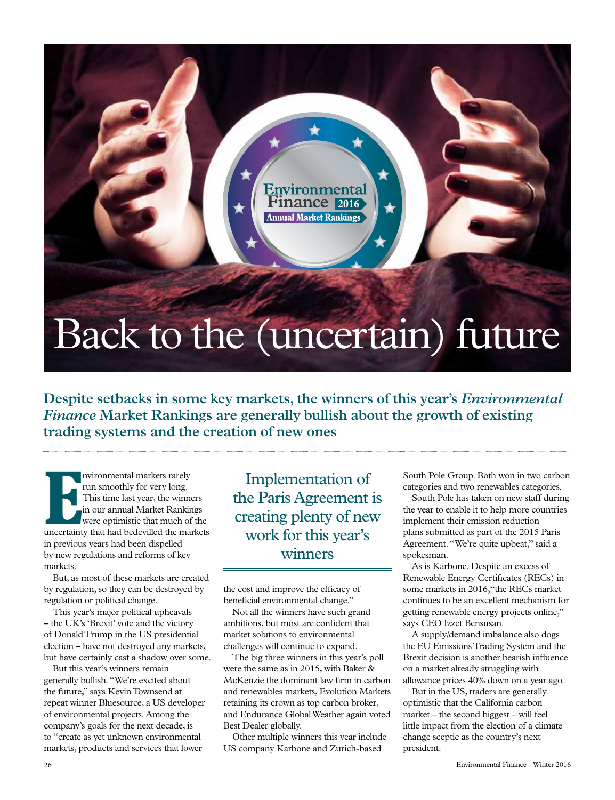### Back to the (uncertain) future

**Pinance** 2016

**Annual Market Rankings** 

Environmental

**Despite setbacks in some key markets, the winners of this year's** *Environmental Finance* **Market Rankings are generally bullish about the growth of existing trading systems and the creation of new ones**

INTERNATION INTERNATIONAL THE MANUSCRIPT OF THE MANUSCRIPT OF THE MANUSCRIPT OF THE MANUSCRIPT OF THE MANUSCRIPT OF THE MANUSCRIPT OF THE MANUSCRIPT OF THE MANUSCRIPT OF THE MANUSCRIPT OF THE MANUSCRIPT OF THE MANUSCRIPT O nvironmental markets rarely run smoothly for very long. This time last year, the winners in our annual Market Rankings were optimistic that much of the in previous years had been dispelled by new regulations and reforms of key markets.

But, as most of these markets are created by regulation, so they can be destroyed by regulation or political change.

This year's major political upheavals – the UK's 'Brexit' vote and the victory of Donald Trump in the US presidential election – have not destroyed any markets, but have certainly cast a shadow over some.

But this year's winners remain generally bullish. "We're excited about the future," says Kevin Townsend at repeat winner Bluesource, a US developer of environmental projects. Among the company's goals for the next decade, is to "create as yet unknown environmental markets, products and services that lower

Implementation of the Paris Agreement is creating plenty of new work for this year's winners

the cost and improve the efficacy of beneficial environmental change."

Not all the winners have such grand ambitions, but most are confident that market solutions to environmental challenges will continue to expand.

The big three winners in this year's poll were the same as in 2015, with Baker & McKenzie the dominant law firm in carbon and renewables markets, Evolution Markets retaining its crown as top carbon broker, and Endurance Global Weather again voted Best Dealer globally.

Other multiple winners this year include US company Karbone and Zurich-based

South Pole Group. Both won in two carbon categories and two renewables categories.

South Pole has taken on new staff during the year to enable it to help more countries implement their emission reduction plans submitted as part of the 2015 Paris Agreement. "We're quite upbeat," said a spokesman.

As is Karbone. Despite an excess of Renewable Energy Certificates (RECs) in some markets in 2016,"the RECs market continues to be an excellent mechanism for getting renewable energy projects online," says CEO Izzet Bensusan.

A supply/demand imbalance also dogs the EU Emissions Trading System and the Brexit decision is another bearish influence on a market already struggling with allowance prices 40% down on a year ago.

But in the US, traders are generally optimistic that the California carbon market – the second biggest – will feel little impact from the election of a climate change sceptic as the country's next president.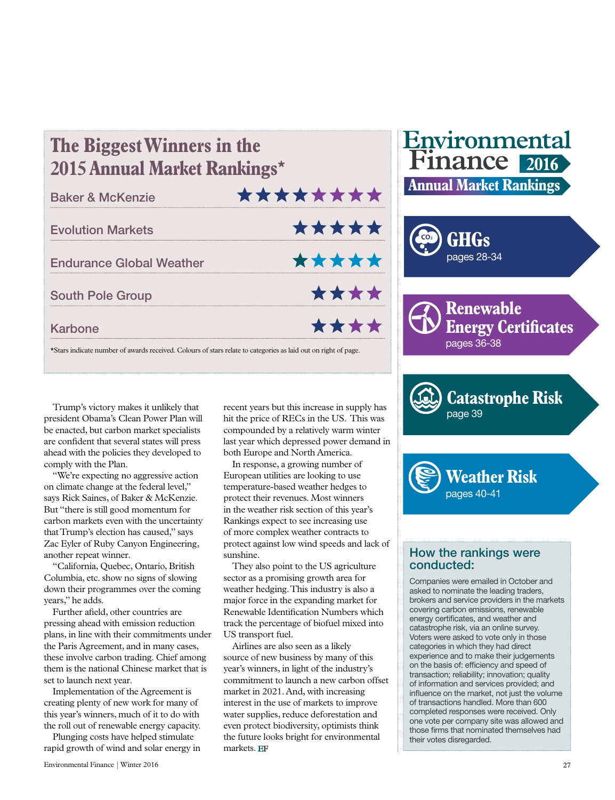| <b>Baker &amp; McKenzie</b>     | ******** |  |       |  |
|---------------------------------|----------|--|-------|--|
| <b>Evolution Markets</b>        |          |  | ***** |  |
| <b>Endurance Global Weather</b> |          |  | ***** |  |
| <b>South Pole Group</b>         |          |  | ****  |  |
| <b>Karbone</b>                  |          |  | ****  |  |

**The Biggest Winners in the** 





**Renewable Energy Certificates** pages 36-38

**Catastrophe Risk** page 39



#### How the rankings were conducted:

Companies were emailed in October and asked to nominate the leading traders, brokers and service providers in the markets covering carbon emissions, renewable energy certificates, and weather and catastrophe risk, via an online survey. Voters were asked to vote only in those categories in which they had direct experience and to make their judgements on the basis of: efficiency and speed of transaction; reliability; innovation; quality of information and services provided; and influence on the market, not just the volume of transactions handled. More than 600 completed responses were received. Only one vote per company site was allowed and those firms that nominated themselves had their votes disregarded.

Trump's victory makes it unlikely that president Obama's Clean Power Plan will be enacted, but carbon market specialists are confident that several states will press ahead with the policies they developed to comply with the Plan.

"We're expecting no aggressive action on climate change at the federal level," says Rick Saines, of Baker & McKenzie. But "there is still good momentum for carbon markets even with the uncertainty that Trump's election has caused," says Zac Eyler of Ruby Canyon Engineering, another repeat winner.

"California, Quebec, Ontario, British Columbia, etc. show no signs of slowing down their programmes over the coming years," he adds.

Further afield, other countries are pressing ahead with emission reduction plans, in line with their commitments under the Paris Agreement, and in many cases, these involve carbon trading. Chief among them is the national Chinese market that is set to launch next year.

Implementation of the Agreement is creating plenty of new work for many of this year's winners, much of it to do with the roll out of renewable energy capacity.

Plunging costs have helped stimulate rapid growth of wind and solar energy in recent years but this increase in supply has hit the price of RECs in the US. This was compounded by a relatively warm winter last year which depressed power demand in both Europe and North America.

In response, a growing number of European utilities are looking to use temperature-based weather hedges to protect their revenues. Most winners in the weather risk section of this year's Rankings expect to see increasing use of more complex weather contracts to protect against low wind speeds and lack of sunshine.

They also point to the US agriculture sector as a promising growth area for weather hedging. This industry is also a major force in the expanding market for Renewable Identification Numbers which track the percentage of biofuel mixed into US transport fuel.

Airlines are also seen as a likely source of new business by many of this year's winners, in light of the industry's commitment to launch a new carbon offset market in 2021. And, with increasing interest in the use of markets to improve water supplies, reduce deforestation and even protect biodiversity, optimists think the future looks bright for environmental markets. EF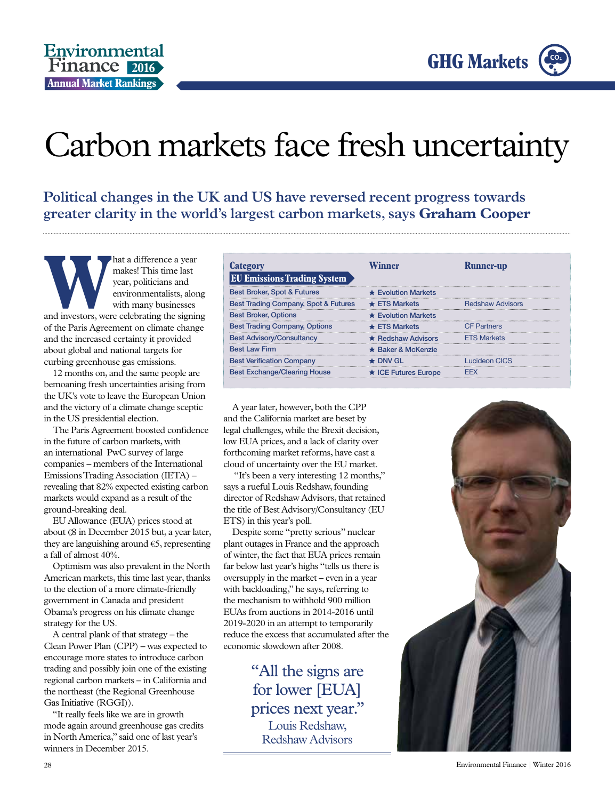



### Carbon markets face fresh uncertainty

**Political changes in the UK and US have reversed recent progress towards greater clarity in the world's largest carbon markets, says Graham Cooper**

**Mat** a difference a year<br>
year, politicians and<br>
environmentalists, along<br>
with many businesses<br>
and investors, were celebrating the signing makes! This time last year, politicians and environmentalists, along with many businesses of the Paris Agreement on climate change and the increased certainty it provided about global and national targets for curbing greenhouse gas emissions.

12 months on, and the same people are bemoaning fresh uncertainties arising from the UK's vote to leave the European Union and the victory of a climate change sceptic in the US presidential election.

The Paris Agreement boosted confidence in the future of carbon markets, with an international PwC survey of large companies – members of the International Emissions Trading Association (IETA) – revealing that 82% expected existing carbon markets would expand as a result of the ground-breaking deal.

EU Allowance (EUA) prices stood at about  $\epsilon$ 8 in December 2015 but, a year later, they are languishing around  $\epsilon$ 5, representing a fall of almost 40%.

Optimism was also prevalent in the North American markets, this time last year, thanks to the election of a more climate-friendly government in Canada and president Obama's progress on his climate change strategy for the US.

A central plank of that strategy – the Clean Power Plan (CPP) – was expected to encourage more states to introduce carbon trading and possibly join one of the existing regional carbon markets – in California and the northeast (the Regional Greenhouse Gas Initiative (RGGI)).

"It really feels like we are in growth mode again around greenhouse gas credits in North America," said one of last year's winners in December 2015.

| Category<br><b>EU Emissions Trading System</b> | Winner                     | <b>Runner-up</b>   |
|------------------------------------------------|----------------------------|--------------------|
| <b>Best Broker, Spot &amp; Futures</b>         | $\star$ Evolution Markets  |                    |
| Best Trading Company, Spot & Futures           | $\star$ FTS Markets        | Redshaw Advisors   |
| <b>Best Broker, Options</b>                    | ★ Evolution Markets        |                    |
| <b>Best Trading Company, Options</b>           | $\star$ ETS Markets        | <b>CF Partners</b> |
| <b>Best Advisory/Consultancy</b>               | $\star$ Redshaw Advisors   | <b>FTS Markets</b> |
| <b>Best Law Firm</b>                           | $\star$ Baker & McKenzie   |                    |
| <b>Best Verification Company</b>               | ≵ DNV GL                   | Lucideon CICS      |
| <b>Best Exchange/Clearing House</b>            | $\star$ ICE Futures Europe |                    |

A year later, however, both the CPP and the California market are beset by legal challenges, while the Brexit decision, low EUA prices, and a lack of clarity over forthcoming market reforms, have cast a cloud of uncertainty over the EU market.

 "It's been a very interesting 12 months," says a rueful Louis Redshaw, founding director of Redshaw Advisors, that retained the title of Best Advisory/Consultancy (EU ETS) in this year's poll.

Despite some "pretty serious" nuclear plant outages in France and the approach of winter, the fact that EUA prices remain far below last year's highs "tells us there is oversupply in the market – even in a year with backloading," he says, referring to the mechanism to withhold 900 million EUAs from auctions in 2014-2016 until 2019-2020 in an attempt to temporarily reduce the excess that accumulated after the economic slowdown after 2008.

> "All the signs are for lower [EUA] prices next year." Louis Redshaw, Redshaw Advisors

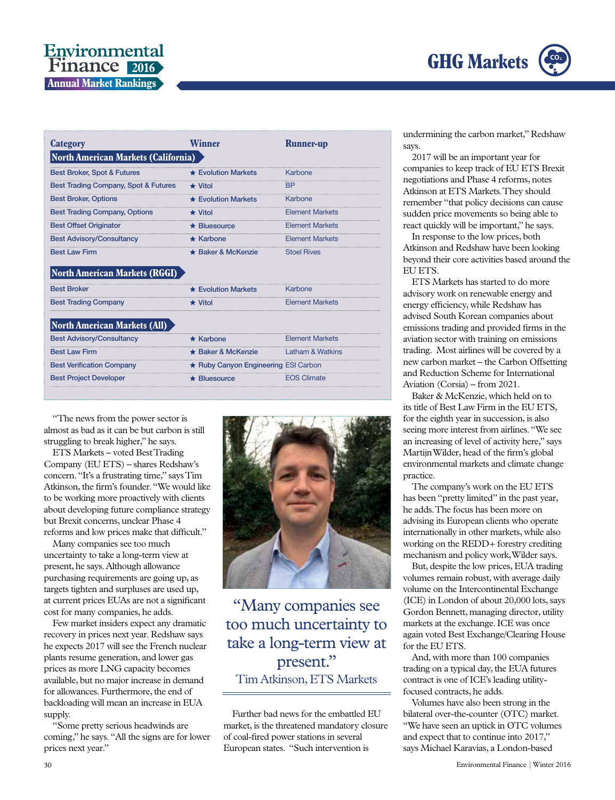

#### Environmental **Finance** 2016 **Annual Market Rankings**

| Category                                   | Winner                               | <b>Runner-up</b>            |
|--------------------------------------------|--------------------------------------|-----------------------------|
| <b>North American Markets (California)</b> |                                      |                             |
| <b>Best Broker, Spot &amp; Futures</b>     | $\star$ Evolution Markets            | Karbone                     |
| Best Trading Company, Spot & Futures       | $\star$ Vitol                        | <b>BP</b>                   |
| <b>Best Broker, Options</b>                | $\star$ Evolution Markets            | Karbone                     |
| <b>Best Trading Company, Options</b>       | $\star$ Vitol                        | <b>Element Markets</b>      |
| <b>Best Offset Originator</b>              | $\star$ Bluesource                   | <b>Element Markets</b>      |
| <b>Best Advisory/Consultancy</b>           | $\star$ Karbone                      | <b>Element Markets</b>      |
| <b>Best Law Firm</b>                       | $\star$ Baker & McKenzie             | <b>Stoel Rives</b>          |
| North American Markets (RGGI)              |                                      |                             |
| <b>Best Broker</b>                         | $\star$ Evolution Markets            | Karbone                     |
| <b>Best Trading Company</b>                | $\star$ Vitol                        | <b>Element Markets</b>      |
| <b>North American Markets (All)</b>        |                                      |                             |
| <b>Best Advisory/Consultancy</b>           | $\star$ Karbone                      | <b>Element Markets</b>      |
| <b>Best Law Firm</b>                       | ★ Baker & McKenzie                   | <b>Latham &amp; Watkins</b> |
| <b>Best Verification Company</b>           | ★ Ruby Canyon Engineering ESI Carbon |                             |
| <b>Best Project Developer</b>              | <b>Bluesource</b>                    | <b>EOS Climate</b>          |

"The news from the power sector is almost as bad as it can be but carbon is still struggling to break higher," he says.

ETS Markets – voted Best Trading Company (EU ETS) – shares Redshaw's concern. "It's a frustrating time," says Tim Atkinson, the firm's founder. "We would like to be working more proactively with clients about developing future compliance strategy but Brexit concerns, unclear Phase 4 reforms and low prices make that difficult."

Many companies see too much uncertainty to take a long-term view at present, he says. Although allowance purchasing requirements are going up, as targets tighten and surpluses are used up, at current prices EUAs are not a significant cost for many companies, he adds.

Few market insiders expect any dramatic recovery in prices next year. Redshaw says he expects 2017 will see the French nuclear plants resume generation, and lower gas prices as more LNG capacity becomes available, but no major increase in demand for allowances. Furthermore, the end of backloading will mean an increase in EUA supply.

"Some pretty serious headwinds are coming," he says. "All the signs are for lower prices next year."



"Many companies see too much uncertainty to take a long-term view at present." Tim Atkinson, ETS Markets

Further bad news for the embattled EU market, is the threatened mandatory closure of coal-fired power stations in several European states. "Such intervention is

undermining the carbon market," Redshaw says.

2017 will be an important year for companies to keep track of EU ETS Brexit negotiations and Phase 4 reforms, notes Atkinson at ETS Markets. They should remember "that policy decisions can cause sudden price movements so being able to react quickly will be important," he says.

In response to the low prices, both Atkinson and Redshaw have been looking beyond their core activities based around the EU ETS.

ETS Markets has started to do more advisory work on renewable energy and energy efficiency, while Redshaw has advised South Korean companies about emissions trading and provided firms in the aviation sector with training on emissions trading. Most airlines will be covered by a new carbon market – the Carbon Offsetting and Reduction Scheme for International Aviation (Corsia) – from 2021.

Baker & McKenzie, which held on to its title of Best Law Firm in the EU ETS, for the eighth year in succession, is also seeing more interest from airlines. "We see an increasing of level of activity here," says Martijn Wilder, head of the firm's global environmental markets and climate change practice.

The company's work on the EU ETS has been "pretty limited" in the past year, he adds. The focus has been more on advising its European clients who operate internationally in other markets, while also working on the REDD+ forestry crediting mechanism and policy work, Wilder says.

But, despite the low prices, EUA trading volumes remain robust, with average daily volume on the Intercontinental Exchange (ICE) in London of about 20,000 lots, says Gordon Bennett, managing director, utility markets at the exchange. ICE was once again voted Best Exchange/Clearing House for the EU ETS.

And, with more than 100 companies trading on a typical day, the EUA futures contract is one of ICE's leading utilityfocused contracts, he adds.

Volumes have also been strong in the bilateral over-the-counter (OTC) market. "We have seen an uptick in OTC volumes and expect that to continue into 2017," says Michael Karavias, a London-based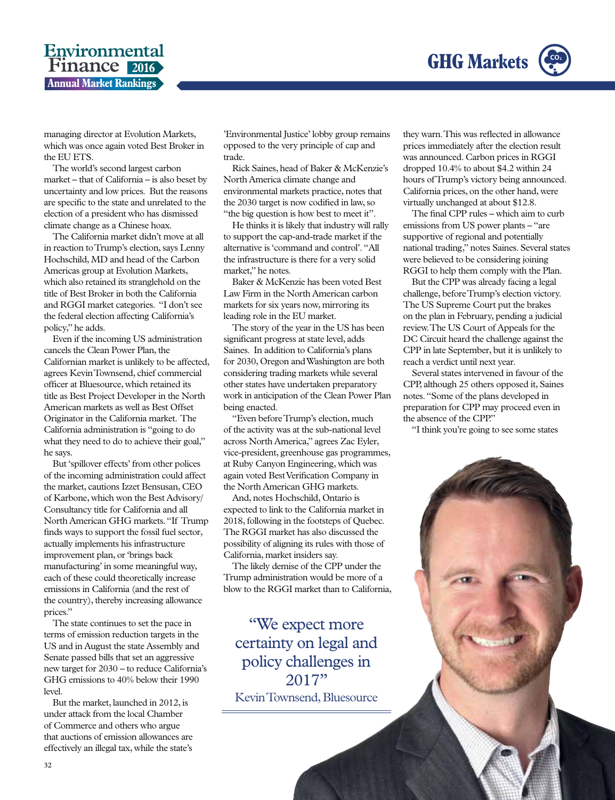

#### Environmental **Finance** 2016 **Annual Market Rankings**

managing director at Evolution Markets, which was once again voted Best Broker in the EU ETS.

The world's second largest carbon market – that of California – is also beset by uncertainty and low prices. But the reasons are specific to the state and unrelated to the election of a president who has dismissed climate change as a Chinese hoax.

The California market didn't move at all in reaction to Trump's election, says Lenny Hochschild, MD and head of the Carbon Americas group at Evolution Markets, which also retained its stranglehold on the title of Best Broker in both the California and RGGI market categories. "I don't see the federal election affecting California's policy," he adds.

Even if the incoming US administration cancels the Clean Power Plan, the Californian market is unlikely to be affected, agrees Kevin Townsend, chief commercial officer at Bluesource, which retained its title as Best Project Developer in the North American markets as well as Best Offset Originator in the California market. The California administration is "going to do what they need to do to achieve their goal," he says.

But 'spillover effects' from other polices of the incoming administration could affect the market, cautions Izzet Bensusan, CEO of Karbone, which won the Best Advisory/ Consultancy title for California and all North American GHG markets. "If Trump finds ways to support the fossil fuel sector, actually implements his infrastructure improvement plan, or 'brings back manufacturing' in some meaningful way, each of these could theoretically increase emissions in California (and the rest of the country), thereby increasing allowance prices."

The state continues to set the pace in terms of emission reduction targets in the US and in August the state Assembly and Senate passed bills that set an aggressive new target for 2030 – to reduce California's GHG emissions to 40% below their 1990 level.

But the market, launched in 2012, is under attack from the local Chamber of Commerce and others who argue that auctions of emission allowances are effectively an illegal tax, while the state's

'Environmental Justice' lobby group remains opposed to the very principle of cap and trade.

Rick Saines, head of Baker & McKenzie's North America climate change and environmental markets practice, notes that the 2030 target is now codified in law, so "the big question is how best to meet it".

He thinks it is likely that industry will rally to support the cap-and-trade market if the alternative is 'command and control'. "All the infrastructure is there for a very solid market," he notes.

Baker & McKenzie has been voted Best Law Firm in the North American carbon markets for six years now, mirroring its leading role in the EU market.

The story of the year in the US has been significant progress at state level, adds Saines. In addition to California's plans for 2030, Oregon and Washington are both considering trading markets while several other states have undertaken preparatory work in anticipation of the Clean Power Plan being enacted.

"Even before Trump's election, much of the activity was at the sub-national level across North America," agrees Zac Eyler, vice-president, greenhouse gas programmes, at Ruby Canyon Engineering, which was again voted Best Verification Company in the North American GHG markets.

And, notes Hochschild, Ontario is expected to link to the California market in 2018, following in the footsteps of Quebec. The RGGI market has also discussed the possibility of aligning its rules with those of California, market insiders say.

The likely demise of the CPP under the Trump administration would be more of a blow to the RGGI market than to California,

"We expect more certainty on legal and policy challenges in 2017" Kevin Townsend, Bluesource

they warn. This was reflected in allowance prices immediately after the election result was announced. Carbon prices in RGGI dropped 10.4% to about \$4.2 within 24 hours of Trump's victory being announced. California prices, on the other hand, were virtually unchanged at about \$12.8.

The final CPP rules – which aim to curb emissions from US power plants – "are supportive of regional and potentially national trading," notes Saines. Several states were believed to be considering joining RGGI to help them comply with the Plan.

But the CPP was already facing a legal challenge, before Trump's election victory. The US Supreme Court put the brakes on the plan in February, pending a judicial review. The US Court of Appeals for the DC Circuit heard the challenge against the CPP in late September, but it is unlikely to reach a verdict until next year.

Several states intervened in favour of the CPP, although 25 others opposed it, Saines notes. "Some of the plans developed in preparation for CPP may proceed even in the absence of the CPP."

"I think you're going to see some states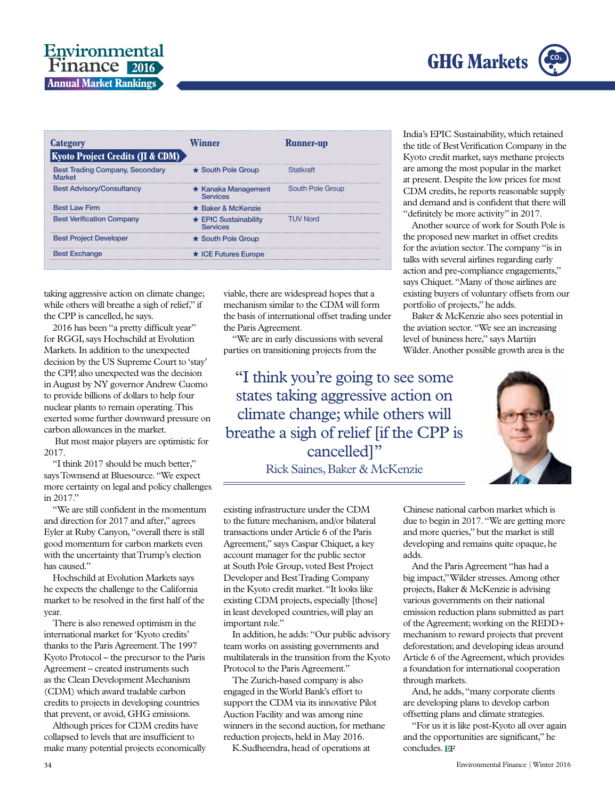

#### Environmental **Finance** 2016 **Annual Market Rankings**

| <b>Category</b><br><b>Kyoto Project Credits (JI &amp; CDM)</b> | Vinner                                       | <b>Runner-up</b> |
|----------------------------------------------------------------|----------------------------------------------|------------------|
| <b>Best Trading Company, Secondary</b><br><b>Market</b>        | ★ South Pole Group                           | Statkraft        |
| <b>Best Advisory/Consultancy</b>                               | $\star$ Kanaka Management<br><b>Services</b> | South Pole Group |
| <b>Best Law Firm</b>                                           | ★ Baker & McKenzie                           |                  |
| <b>Best Verification Company</b>                               | $\star$ EPIC Sustainability<br>Services      | <b>TUV Nord</b>  |
| <b>Best Project Developer</b>                                  | $\star$ South Pole Group                     |                  |
| <b>Best Exchange</b>                                           | $\star$ ICE Futures Europe                   |                  |

taking aggressive action on climate change; while others will breathe a sigh of relief," if the CPP is cancelled, he says.

2016 has been "a pretty difficult year" for RGGI, says Hochschild at Evolution Markets. In addition to the unexpected decision by the US Supreme Court to 'stay' the CPP, also unexpected was the decision in August by NY governor Andrew Cuomo to provide billions of dollars to help four nuclear plants to remain operating. This exerted some further downward pressure on carbon allowances in the market.

 But most major players are optimistic for 2017.

"I think 2017 should be much better," says Townsend at Bluesource. "We expect more certainty on legal and policy challenges in 2017."

"We are still confident in the momentum and direction for 2017 and after," agrees Eyler at Ruby Canyon, "overall there is still good momentum for carbon markets even with the uncertainty that Trump's election has caused."

Hochschild at Evolution Markets says he expects the challenge to the California market to be resolved in the first half of the year.

There is also renewed optimism in the international market for 'Kyoto credits' thanks to the Paris Agreement. The 1997 Kyoto Protocol – the precursor to the Paris Agreement – created instruments such as the Clean Development Mechanism (CDM) which award tradable carbon credits to projects in developing countries that prevent, or avoid, GHG emissions.

Although prices for CDM credits have collapsed to levels that are insufficient to make many potential projects economically viable, there are widespread hopes that a mechanism similar to the CDM will form the basis of international offset trading under the Paris Agreement.

"We are in early discussions with several parties on transitioning projects from the

"I think you're going to see some states taking aggressive action on climate change; while others will breathe a sigh of relief [if the CPP is cancelled]"

Rick Saines, Baker & McKenzie

existing infrastructure under the CDM to the future mechanism, and/or bilateral transactions under Article 6 of the Paris Agreement," says Caspar Chiquet, a key account manager for the public sector at South Pole Group, voted Best Project Developer and Best Trading Company in the Kyoto credit market. "It looks like existing CDM projects, especially [those] in least developed countries, will play an important role."

In addition, he adds: "Our public advisory team works on assisting governments and multilaterals in the transition from the Kyoto Protocol to the Paris Agreement."

The Zurich-based company is also engaged in the World Bank's effort to support the CDM via its innovative Pilot Auction Facility and was among nine winners in the second auction, for methane reduction projects, held in May 2016.

K.Sudheendra, head of operations at

India's EPIC Sustainability, which retained the title of Best Verification Company in the Kyoto credit market, says methane projects are among the most popular in the market at present. Despite the low prices for most CDM credits, he reports reasonable supply and demand and is confident that there will "definitely be more activity" in 2017.

Another source of work for South Pole is the proposed new market in offset credits for the aviation sector. The company "is in talks with several airlines regarding early action and pre-compliance engagements," says Chiquet. "Many of those airlines are existing buyers of voluntary offsets from our portfolio of projects," he adds.

Baker & McKenzie also sees potential in the aviation sector. "We see an increasing level of business here," says Martijn Wilder. Another possible growth area is the



Chinese national carbon market which is due to begin in 2017. "We are getting more and more queries," but the market is still developing and remains quite opaque, he adds.

And the Paris Agreement "has had a big impact," Wilder stresses. Among other projects, Baker & McKenzie is advising various governments on their national emission reduction plans submitted as part of the Agreement; working on the REDD+ mechanism to reward projects that prevent deforestation; and developing ideas around Article 6 of the Agreement, which provides a foundation for international cooperation through markets.

And, he adds, "many corporate clients are developing plans to develop carbon offsetting plans and climate strategies.

"For us it is like post-Kyoto all over again and the opportunities are significant," he concludes. EF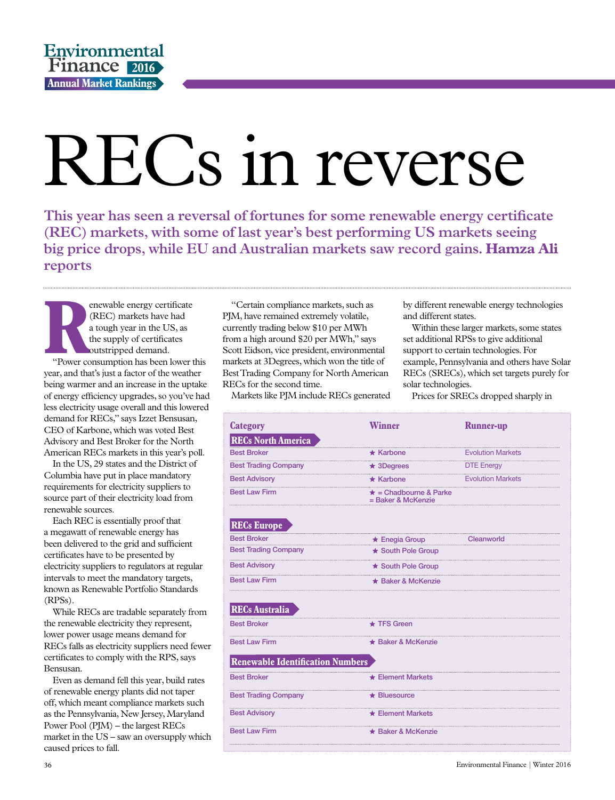# RECs in reverse

**This year has seen a reversal of fortunes for some renewable energy certificate (REC) markets, with some of last year's best performing US markets seeing big price drops, while EU and Australian markets saw record gains. Hamza Ali reports**

**R**<br>
"Power co enewable energy certificate (REC) markets have had a tough year in the US, as the supply of certificates outstripped demand. "Power consumption has been lower this year, and that's just a factor of the weather being warmer and an increase in the uptake of energy efficiency upgrades, so you've had less electricity usage overall and this lowered demand for RECs," says Izzet Bensusan, CEO of Karbone, which was voted Best Advisory and Best Broker for the North American RECs markets in this year's poll.

In the US, 29 states and the District of Columbia have put in place mandatory requirements for electricity suppliers to source part of their electricity load from renewable sources.

Each REC is essentially proof that a megawatt of renewable energy has been delivered to the grid and sufficient certificates have to be presented by electricity suppliers to regulators at regular intervals to meet the mandatory targets, known as Renewable Portfolio Standards (RPSs).

While RECs are tradable separately from the renewable electricity they represent, lower power usage means demand for RECs falls as electricity suppliers need fewer certificates to comply with the RPS, says Bensusan.

Even as demand fell this year, build rates of renewable energy plants did not taper off, which meant compliance markets such as the Pennsylvania, New Jersey, Maryland Power Pool (PJM) – the largest RECs market in the US – saw an oversupply which caused prices to fall.

"Certain compliance markets, such as PJM, have remained extremely volatile, currently trading below \$10 per MWh from a high around \$20 per MWh," says Scott Eidson, vice president, environmental markets at 3Degrees, which won the title of Best Trading Company for North American RECs for the second time.

Markets like PJM include RECs generated

by different renewable energy technologies and different states.

Within these larger markets, some states set additional RPSs to give additional support to certain technologies. For example, Pennsylvania and others have Solar RECs (SRECs), which set targets purely for solar technologies.

Prices for SRECs dropped sharply in

| <b>Category</b>                  | <b>Winner</b>                                                            | <b>Runner-up</b>         |  |
|----------------------------------|--------------------------------------------------------------------------|--------------------------|--|
| <b>RECs North America</b>        |                                                                          |                          |  |
| <b>Best Broker</b>               | $\star$ Karbone                                                          | <b>Evolution Markets</b> |  |
| <b>Best Trading Company</b>      | $\star$ 3Degrees                                                         | <b>DTE Energy</b>        |  |
|                                  | <u>Best Advisory</u><br>■ Best Advisory<br>■ ★ Karbone Byolution Markets |                          |  |
| <b>Best Law Firm</b>             | $\star$ = Chadbourne & Parke<br>= Baker & McKenzie                       |                          |  |
| <b>RECs Europe</b>               |                                                                          |                          |  |
| <b>Best Broker</b>               | Best Broker Clean → Enegia Group Clean                                   | Cleanworld               |  |
| <b>Best Trading Company</b>      | ★ South Pole Group                                                       |                          |  |
| <b>Best Advisory</b>             | ★ South Pole Group                                                       |                          |  |
| <b>Best Law Firm</b>             | ★ Baker & McKenzie                                                       |                          |  |
| <b>RECs Australia</b>            |                                                                          |                          |  |
| <b>Best Broker</b>               | $\star$ TFS Green                                                        |                          |  |
| <b>Best Law Firm</b>             | ★ Baker & McKenzie                                                       |                          |  |
| Renewable Identification Numbers |                                                                          |                          |  |
| <b>Best Broker</b>               | $\star$ Element Markets                                                  |                          |  |
| <b>Best Trading Company</b>      | $\star$ Bluesource                                                       |                          |  |
| <b>Best Advisory</b>             | $\star$ Element Markets                                                  |                          |  |
| <b>Best Law Firm</b>             | ★ Baker & McKenzie                                                       |                          |  |
|                                  |                                                                          |                          |  |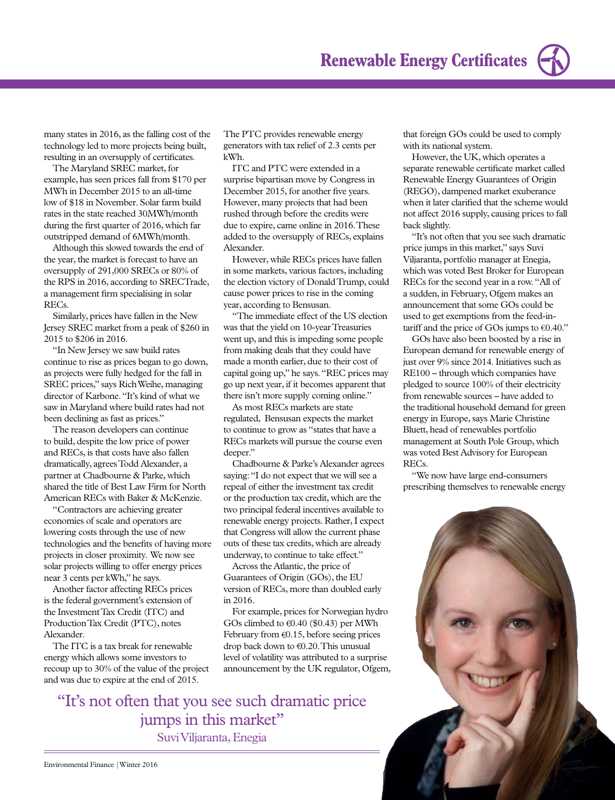

The reason developers can continue to build, despite the low price of power and RECs, is that costs have also fallen dramatically, agrees Todd Alexander, a partner at Chadbourne & Parke, which shared the title of Best Law Firm for North American RECs with Baker & McKenzie.

Similarly, prices have fallen in the New Jersey SREC market from a peak of \$260 in

"In New Jersey we saw build rates continue to rise as prices began to go down, as projects were fully hedged for the fall in SREC prices," says Rich Weihe, managing director of Karbone. "It's kind of what we saw in Maryland where build rates had not

been declining as fast as prices."

RECs.

2015 to \$206 in 2016.

many states in 2016, as the falling cost of the technology led to more projects being built, resulting in an oversupply of certificates. The Maryland SREC market, for example, has seen prices fall from \$170 per MWh in December 2015 to an all-time low of \$18 in November. Solar farm build rates in the state reached 30MWh/month during the first quarter of 2016, which far outstripped demand of 6MWh/month. Although this slowed towards the end of the year, the market is forecast to have an oversupply of 291,000 SRECs or 80% of the RPS in 2016, according to SRECTrade, a management firm specialising in solar

"Contractors are achieving greater economies of scale and operators are lowering costs through the use of new technologies and the benefits of having more projects in closer proximity. We now see solar projects willing to offer energy prices near 3 cents per kWh," he says.

Another factor affecting RECs prices is the federal government's extension of the Investment Tax Credit (ITC) and Production Tax Credit (PTC), notes Alexander.

The ITC is a tax break for renewable energy which allows some investors to recoup up to 30% of the value of the project and was due to expire at the end of 2015.

The PTC provides renewable energy generators with tax relief of 2.3 cents per kWh.

ITC and PTC were extended in a surprise bipartisan move by Congress in December 2015, for another five years. However, many projects that had been rushed through before the credits were due to expire, came online in 2016. These added to the oversupply of RECs, explains Alexander.

However, while RECs prices have fallen in some markets, various factors, including the election victory of Donald Trump, could cause power prices to rise in the coming year, according to Bensusan.

"The immediate effect of the US election was that the yield on 10-year Treasuries went up, and this is impeding some people from making deals that they could have made a month earlier, due to their cost of capital going up," he says. "REC prices may go up next year, if it becomes apparent that there isn't more supply coming online."

As most RECs markets are state regulated, Bensusan expects the market to continue to grow as "states that have a RECs markets will pursue the course even deeper."

Chadbourne & Parke's Alexander agrees saying: "I do not expect that we will see a repeal of either the investment tax credit or the production tax credit, which are the two principal federal incentives available to renewable energy projects. Rather, I expect that Congress will allow the current phase outs of these tax credits, which are already underway, to continue to take effect."

Across the Atlantic, the price of Guarantees of Origin (GOs), the EU version of RECs, more than doubled early in 2016.

For example, prices for Norwegian hydro GOs climbed to  $\epsilon$ 0.40 (\$0.43) per MWh February from  $\epsilon$ 0.15, before seeing prices drop back down to  $\epsilon$ 0.20. This unusual level of volatility was attributed to a surprise announcement by the UK regulator, Ofgem,

"It's not often that you see such dramatic price jumps in this market" Suvi Viljaranta, Enegia

However, the UK, which operates a separate renewable certificate market called Renewable Energy Guarantees of Origin (REGO), dampened market exuberance when it later clarified that the scheme would not affect 2016 supply, causing prices to fall back slightly.

"It's not often that you see such dramatic price jumps in this market," says Suvi Viljaranta, portfolio manager at Enegia, which was voted Best Broker for European RECs for the second year in a row. "All of a sudden, in February, Ofgem makes an announcement that some GOs could be used to get exemptions from the feed-intariff and the price of GOs jumps to  $\epsilon$ 0.40."

GOs have also been boosted by a rise in European demand for renewable energy of just over 9% since 2014. Initiatives such as RE100 – through which companies have pledged to source 100% of their electricity from renewable sources – have added to the traditional household demand for green energy in Europe, says Marie Christine Bluett, head of renewables portfolio management at South Pole Group, which was voted Best Advisory for European RECs.

"We now have large end-consumers prescribing themselves to renewable energy

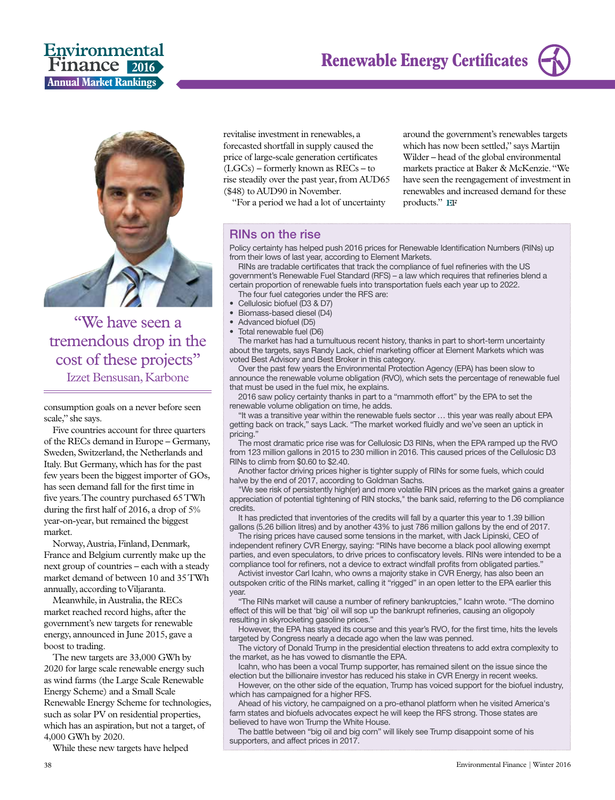

"We have seen a tremendous drop in the cost of these projects" Izzet Bensusan, Karbone

consumption goals on a never before seen scale," she says.

Five countries account for three quarters of the RECs demand in Europe – Germany, Sweden, Switzerland, the Netherlands and Italy. But Germany, which has for the past few years been the biggest importer of GOs, has seen demand fall for the first time in five years. The country purchased 65 TWh during the first half of 2016, a drop of 5% year-on-year, but remained the biggest market.

Norway, Austria, Finland, Denmark, France and Belgium currently make up the next group of countries – each with a steady market demand of between 10 and 35 TWh annually, according to Viljaranta.

Meanwhile, in Australia, the RECs market reached record highs, after the government's new targets for renewable energy, announced in June 2015, gave a boost to trading.

The new targets are 33,000 GWh by 2020 for large scale renewable energy such as wind farms (the Large Scale Renewable Energy Scheme) and a Small Scale Renewable Energy Scheme for technologies, such as solar PV on residential properties, which has an aspiration, but not a target, of 4,000 GWh by 2020.

While these new targets have helped

revitalise investment in renewables, a forecasted shortfall in supply caused the price of large-scale generation certificates (LGCs) – formerly known as RECs – to rise steadily over the past year, from AUD65 (\$48) to AUD90 in November.

"For a period we had a lot of uncertainty

around the government's renewables targets which has now been settled," says Martijn Wilder – head of the global environmental markets practice at Baker & McKenzie. "We have seen the reengagement of investment in renewables and increased demand for these products." EF

#### RINs on the rise

Policy certainty has helped push 2016 prices for Renewable Identification Numbers (RINs) up from their lows of last year, according to Element Markets.

RINs are tradable certificates that track the compliance of fuel refineries with the US government's Renewable Fuel Standard (RFS) – a law which requires that refineries blend a certain proportion of renewable fuels into transportation fuels each year up to 2022.

- The four fuel categories under the RFS are:
- Cellulosic biofuel (D3 & D7)
- Biomass-based diesel (D4) • Advanced biofuel (D5)
- Total renewable fuel (D6)

The market has had a tumultuous recent history, thanks in part to short-term uncertainty about the targets, says Randy Lack, chief marketing officer at Element Markets which was voted Best Advisory and Best Broker in this category.

Over the past few years the Environmental Protection Agency (EPA) has been slow to announce the renewable volume obligation (RVO), which sets the percentage of renewable fuel that must be used in the fuel mix, he explains.

2016 saw policy certainty thanks in part to a "mammoth effort" by the EPA to set the renewable volume obligation on time, he adds.

"It was a transitive year within the renewable fuels sector … this year was really about EPA getting back on track," says Lack. "The market worked fluidly and we've seen an uptick in pricing."

The most dramatic price rise was for Cellulosic D3 RINs, when the EPA ramped up the RVO from 123 million gallons in 2015 to 230 million in 2016. This caused prices of the Cellulosic D3 RINs to climb from \$0.60 to \$2.40.

Another factor driving prices higher is tighter supply of RINs for some fuels, which could halve by the end of 2017, according to Goldman Sachs.

"We see risk of persistently high(er) and more volatile RIN prices as the market gains a greater appreciation of potential tightening of RIN stocks," the bank said, referring to the D6 compliance credits.

It has predicted that inventories of the credits will fall by a quarter this year to 1.39 billion gallons (5.26 billion litres) and by another 43% to just 786 million gallons by the end of 2017.

The rising prices have caused some tensions in the market, with Jack Lipinski, CEO of independent refinery CVR Energy, saying: "RINs have become a black pool allowing exempt parties, and even speculators, to drive prices to confiscatory levels. RINs were intended to be a compliance tool for refiners, not a device to extract windfall profits from obligated parties."

Activist investor Carl Icahn, who owns a majority stake in CVR Energy, has also been an outspoken critic of the RINs market, calling it "rigged" in an open letter to the EPA earlier this year.

"The RINs market will cause a number of refinery bankruptcies," Icahn wrote. "The domino effect of this will be that 'big' oil will sop up the bankrupt refineries, causing an oligopoly resulting in skyrocketing gasoline prices."

However, the EPA has stayed its course and this year's RVO, for the first time, hits the levels targeted by Congress nearly a decade ago when the law was penned.

The victory of Donald Trump in the presidential election threatens to add extra complexity to the market, as he has vowed to dismantle the EPA.

Icahn, who has been a vocal Trump supporter, has remained silent on the issue since the election but the billionaire investor has reduced his stake in CVR Energy in recent weeks.

However, on the other side of the equation, Trump has voiced support for the biofuel industry, which has campaigned for a higher RFS.

Ahead of his victory, he campaigned on a pro-ethanol platform when he visited America's farm states and biofuels advocates expect he will keep the RFS strong. Those states are believed to have won Trump the White House.

The battle between "big oil and big corn" will likely see Trump disappoint some of his supporters, and affect prices in 2017.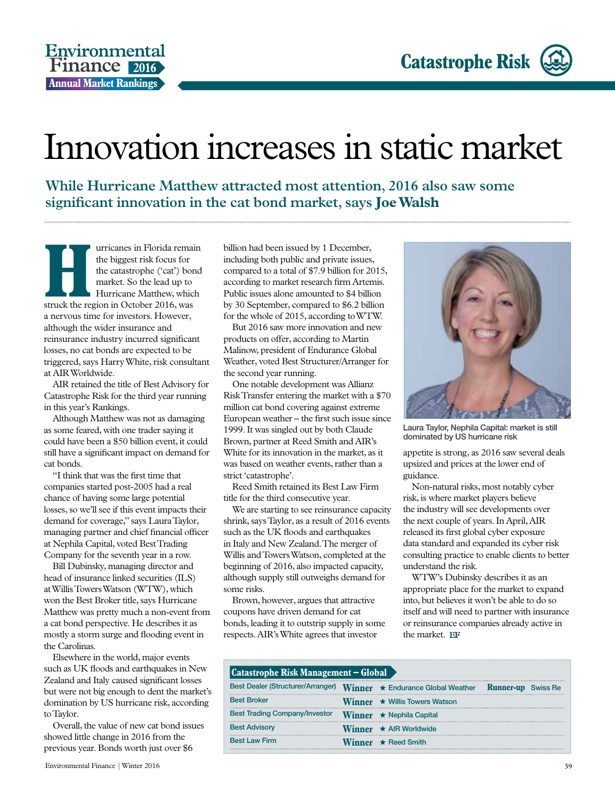### Innovation increases in static market

**While Hurricane Matthew attracted most attention, 2016 also saw some significant innovation in the cat bond market, says Joe Walsh**

**Hurricanes in Florida remain**<br>
the biggest risk focus for<br>
the catastrophe ('cat') bond<br>
market. So the lead up to<br>
Hurricane Matthew, which<br>
struck the region in October 2016, was the biggest risk focus for the catastrophe ('cat') bond market. So the lead up to Hurricane Matthew, which a nervous time for investors. However, although the wider insurance and reinsurance industry incurred significant losses, no cat bonds are expected to be triggered, says Harry White, risk consultant at AIR Worldwide.

AIR retained the title of Best Advisory for Catastrophe Risk for the third year running in this year's Rankings.

Although Matthew was not as damaging as some feared, with one trader saying it could have been a \$50 billion event, it could still have a significant impact on demand for cat bonds.

"I think that was the first time that companies started post-2005 had a real chance of having some large potential losses, so we'll see if this event impacts their demand for coverage," says Laura Taylor, managing partner and chief financial officer at Nephila Capital, voted Best Trading Company for the seventh year in a row.

Bill Dubinsky, managing director and head of insurance linked securities (ILS) at Willis Towers Watson (WTW), which won the Best Broker title, says Hurricane Matthew was pretty much a non-event from a cat bond perspective. He describes it as mostly a storm surge and flooding event in the Carolinas.

Elsewhere in the world, major events such as UK floods and earthquakes in New Zealand and Italy caused significant losses but were not big enough to dent the market's domination by US hurricane risk, according to Taylor.

Overall, the value of new cat bond issues showed little change in 2016 from the previous year. Bonds worth just over \$6

billion had been issued by 1 December, including both public and private issues, compared to a total of \$7.9 billion for 2015, according to market research firm Artemis. Public issues alone amounted to \$4 billion by 30 September, compared to \$6.2 billion for the whole of 2015, according to WTW.

But 2016 saw more innovation and new products on offer, according to Martin Malinow, president of Endurance Global Weather, voted Best Structurer/Arranger for the second year running.

One notable development was Allianz Risk Transfer entering the market with a \$70 million cat bond covering against extreme European weather – the first such issue since 1999. It was singled out by both Claude Brown, partner at Reed Smith and AIR's White for its innovation in the market, as it was based on weather events, rather than a strict 'catastrophe'.

Reed Smith retained its Best Law Firm title for the third consecutive year.

We are starting to see reinsurance capacity shrink, says Taylor, as a result of 2016 events such as the UK floods and earthquakes in Italy and New Zealand. The merger of Willis and Towers Watson, completed at the beginning of 2016, also impacted capacity, although supply still outweighs demand for some risks.

Brown, however, argues that attractive coupons have driven demand for cat bonds, leading it to outstrip supply in some respects. AIR's White agrees that investor



Laura Taylor, Nephila Capital: market is still dominated by US hurricane risk

appetite is strong, as 2016 saw several deals upsized and prices at the lower end of guidance.

Non-natural risks, most notably cyber risk, is where market players believe the industry will see developments over the next couple of years. In April, AIR released its first global cyber exposure data standard and expanded its cyber risk consulting practice to enable clients to better understand the risk.

WTW's Dubinsky describes it as an appropriate place for the market to expand into, but believes it won't be able to do so itself and will need to partner with insurance or reinsurance companies already active in the market. EF

| Catastrophe Risk Management – Global                                |  |                                            |  |  |
|---------------------------------------------------------------------|--|--------------------------------------------|--|--|
| Best Dealer (Structurer/Arranger) Winner ★ Endurance Global Weather |  | <b>Runner-up</b> Swiss Re                  |  |  |
| <b>Best Broker</b>                                                  |  | <b>Winner</b> $\star$ Willis Towers Watson |  |  |
| <b>Best Trading Company/Investor</b>                                |  | Winner * Nephila Capital                   |  |  |
| <b>Best Advisory</b>                                                |  | ★ AIR Worldwide                            |  |  |
| <b>Best Law Firm</b>                                                |  | $\star$ Reed Smith                         |  |  |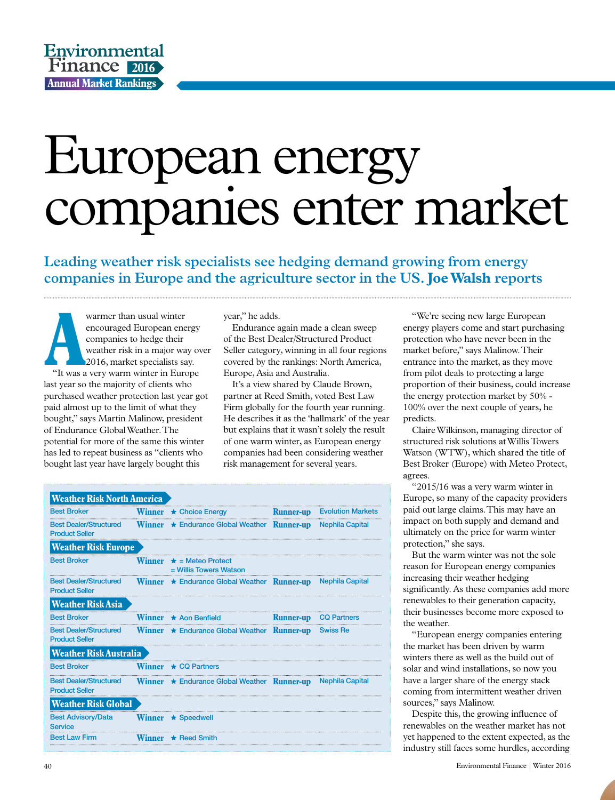## European energy companies enter market

**Leading weather risk specialists see hedging demand growing from energy companies in Europe and the agriculture sector in the US. Joe Walsh reports**

Warmer than usual winter<br>
encouraged European energy<br>
companies to hedge their<br>
weather risk in a major way ov<br>
2016, market specialists say.<br>
"It was a very warm winter in Europe warmer than usual winter encouraged European energy companies to hedge their weather risk in a major way over 2016, market specialists say. last year so the majority of clients who purchased weather protection last year got paid almost up to the limit of what they bought," says Martin Malinow, president of Endurance Global Weather. The potential for more of the same this winter has led to repeat business as "clients who bought last year have largely bought this

year," he adds.

Endurance again made a clean sweep of the Best Dealer/Structured Product Seller category, winning in all four regions covered by the rankings: North America, Europe, Asia and Australia.

It's a view shared by Claude Brown, partner at Reed Smith, voted Best Law Firm globally for the fourth year running. He describes it as the 'hallmark' of the year but explains that it wasn't solely the result of one warm winter, as European energy companies had been considering weather risk management for several years.

| <b>Weather Risk North America</b>                      |               |                                                                 |                  |                          |
|--------------------------------------------------------|---------------|-----------------------------------------------------------------|------------------|--------------------------|
| <b>Best Broker</b>                                     | <b>Winner</b> | ★ Choice Energy                                                 | <b>Runner-up</b> | <b>Evolution Markets</b> |
| <b>Best Dealer/Structured</b><br><b>Product Seller</b> | Winner        | ★ Endurance Global Weather Runner-up                            |                  | <b>Nephila Capital</b>   |
| <b>Weather Risk Europe</b>                             |               |                                                                 |                  |                          |
| <b>Best Broker</b>                                     | Winner        | $\star$ = Meteo Protect<br>$=$ Willis Towers Watson             |                  |                          |
| <b>Best Dealer/Structured</b><br><b>Product Seller</b> |               | <b>Winner</b> $\star$ Endurance Global Weather <b>Runner-up</b> |                  | <b>Nephila Capital</b>   |
| <b>Weather Risk Asia</b>                               |               |                                                                 |                  |                          |
| <b>Best Broker</b>                                     | <b>Winner</b> | $\star$ Aon Benfield                                            | <b>Runner-up</b> | <b>CQ Partners</b>       |
| <b>Best Dealer/Structured</b><br><b>Product Seller</b> | <b>Winner</b> | <b>* Endurance Global Weather Runner-up</b>                     |                  | <b>Swiss Re</b>          |
| <b>Weather Risk Australia</b>                          |               |                                                                 |                  |                          |
| <b>Best Broker</b>                                     | Winner        | $\star$ CO Partners                                             |                  |                          |
| <b>Best Dealer/Structured</b><br><b>Product Seller</b> |               | <b>Winner</b> $\star$ Endurance Global Weather <b>Runner-up</b> |                  | <b>Nephila Capital</b>   |
| <b>Weather Risk Global</b>                             |               |                                                                 |                  |                          |
| <b>Best Advisory/Data</b><br><b>Service</b>            |               | <b>Winner</b> $\star$ Speedwell                                 |                  |                          |
| <b>Best Law Firm</b>                                   | Winner        | $\star$ Reed Smith                                              |                  |                          |

"We're seeing new large European energy players come and start purchasing protection who have never been in the market before," says Malinow. Their entrance into the market, as they move from pilot deals to protecting a large proportion of their business, could increase the energy protection market by 50% - 100% over the next couple of years, he predicts.

Claire Wilkinson, managing director of structured risk solutions at Willis Towers Watson (WTW), which shared the title of Best Broker (Europe) with Meteo Protect, agrees.

"2015/16 was a very warm winter in Europe, so many of the capacity providers paid out large claims. This may have an impact on both supply and demand and ultimately on the price for warm winter protection," she says.

But the warm winter was not the sole reason for European energy companies increasing their weather hedging significantly. As these companies add more renewables to their generation capacity, their businesses become more exposed to the weather.

"European energy companies entering the market has been driven by warm winters there as well as the build out of solar and wind installations, so now you have a larger share of the energy stack coming from intermittent weather driven sources," says Malinow.

Despite this, the growing influence of renewables on the weather market has not yet happened to the extent expected, as the industry still faces some hurdles, according